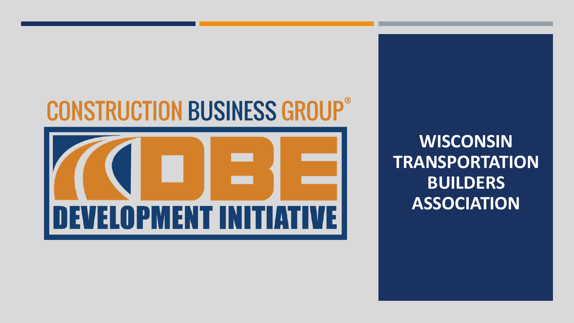# **CONSTRUCTION BUSINESS GROUP®**



**WISCONSIN TRANSPORTATION BUILDERS ASSOCIATION**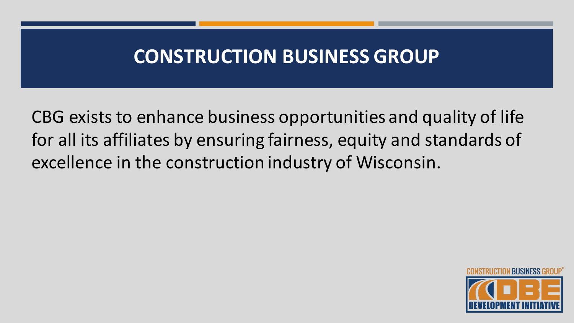#### **CONSTRUCTION BUSINESS GROUP**

CBG exists to enhance business opportunities and quality of life for all its affiliates by ensuring fairness, equity and standards of excellence in the construction industry of Wisconsin.

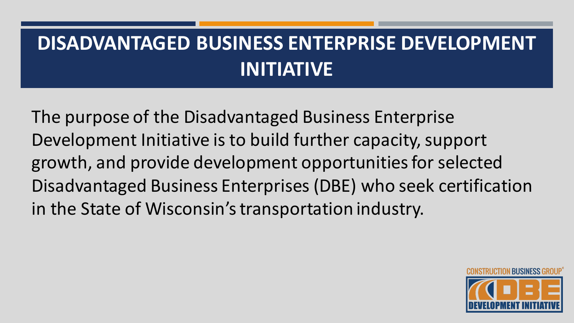### **DISADVANTAGED BUSINESS ENTERPRISE DEVELOPMENT INITIATIVE**

The purpose of the Disadvantaged Business Enterprise Development Initiative is to build further capacity, support growth, and provide development opportunities for selected Disadvantaged Business Enterprises (DBE) who seek certification in the State of Wisconsin's transportation industry.

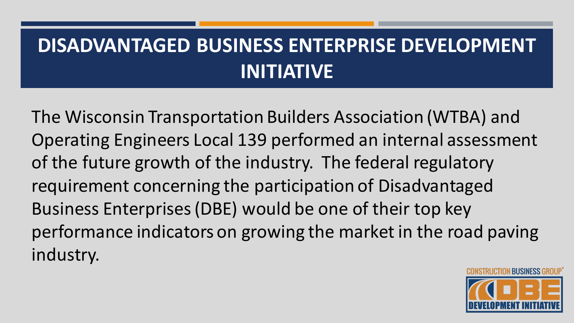# **DISADVANTAGED BUSINESS ENTERPRISE DEVELOPMENT INITIATIVE**

The Wisconsin Transportation Builders Association (WTBA) and Operating Engineers Local 139 performed an internal assessment of the future growth of the industry. The federal regulatory requirement concerning the participation of Disadvantaged Business Enterprises (DBE) would be one of their top key performance indicators on growing the market in the road paving industry.

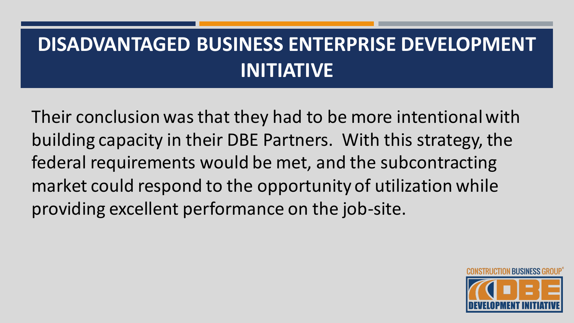# **DISADVANTAGED BUSINESS ENTERPRISE DEVELOPMENT INITIATIVE**

Their conclusion was that they had to be more intentional with building capacity in their DBE Partners. With this strategy, the federal requirements would be met, and the subcontracting market could respond to the opportunity of utilization while providing excellent performance on the job-site.